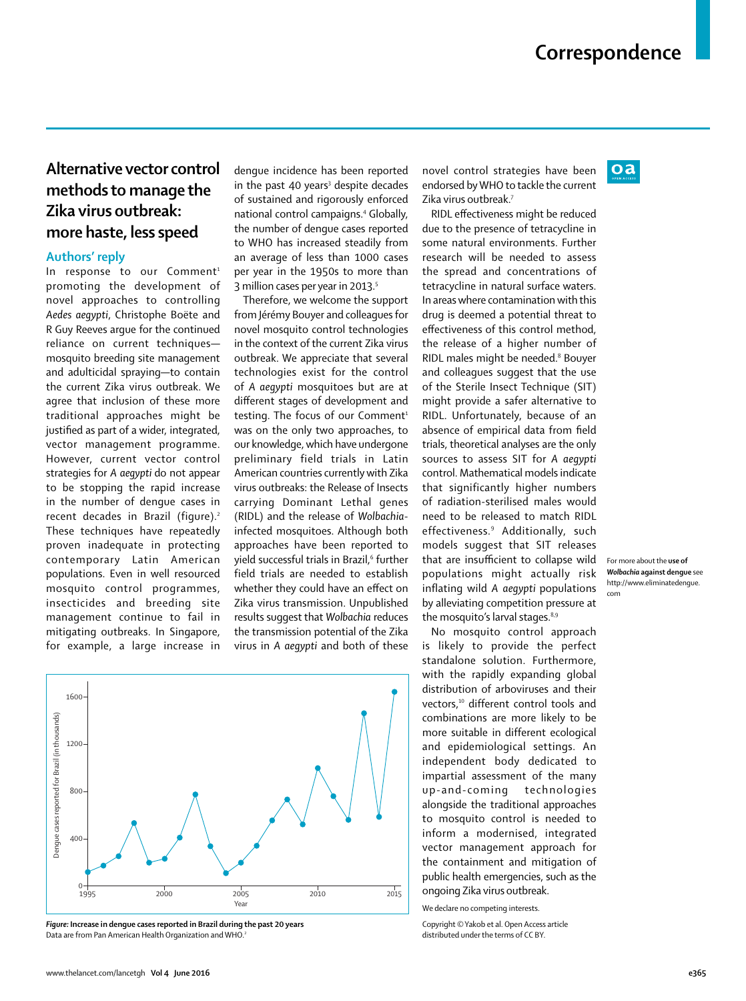$oa$ 

## **Alternative vector control methods to manage the Zika virus outbreak: more haste, less speed**

## **Authors' reply**

In response to our Comment<sup>1</sup> promoting the development of novel approaches to controlling *Aedes aegypti*, Christophe Boëte and R Guy Reeves argue for the continued reliance on current techniques mosquito breeding site management and adulticidal spraying—to contain the current Zika virus outbreak. We agree that inclusion of these more traditional approaches might be justified as part of a wider, integrated, vector management programme. However, current vector control strategies for *A aegypti* do not appear to be stopping the rapid increase in the number of dengue cases in recent decades in Brazil (figure).<sup>2</sup> These techniques have repeatedly proven inadequate in protecting contemporary Latin American populations. Even in well resourced mosquito control programmes, insecticides and breeding site management continue to fail in mitigating outbreaks. In Singapore, for example, a large increase in dengue incidence has been reported in the past 40 years<sup>3</sup> despite decades of sustained and rigorously enforced national control campaigns.4 Globally, the number of dengue cases reported to WHO has increased steadily from an average of less than 1000 cases per year in the 1950s to more than 3 million cases per year in 2013.<sup>5</sup>

Therefore, we welcome the support from Jérémy Bouyer and colleagues for novel mosquito control technologies in the context of the current Zika virus outbreak. We appreciate that several technologies exist for the control of *A aegypti* mosquitoes but are at different stages of development and testing. The focus of our Comment<sup>1</sup> was on the only two approaches, to our knowledge, which have undergone preliminary field trials in Latin American countries currently with Zika virus outbreaks: the Release of Insects carrying Dominant Lethal genes (RIDL) and the release of *Wolbachia*infected mosquitoes. Although both approaches have been reported to yield successful trials in Brazil, $^{\rm 6}$  further field trials are needed to establish whether they could have an effect on Zika virus transmission. Unpublished results suggest that *Wolbachia* reduces the transmission potential of the Zika virus in *A aegypti* and both of these



*Figure:* **Increase in dengue cases reported in Brazil during the past 20 years** Data are from Pan American Health Organization and WHO.2

novel control strategies have been endorsed by WHO to tackle the current Zika virus outbreak.7

RIDL effectiveness might be reduced due to the presence of tetracycline in some natural environments. Further research will be needed to assess the spread and concentrations of tetracycline in natural surface waters. In areas where contamination with this drug is deemed a potential threat to effectiveness of this control method, the release of a higher number of RIDL males might be needed.<sup>8</sup> Bouyer and colleagues suggest that the use of the Sterile Insect Technique (SIT) might provide a safer alternative to RIDL. Unfortunately, because of an absence of empirical data from field trials, theoretical analyses are the only sources to assess SIT for *A aegypti*  control. Mathematical models indicate that significantly higher numbers of radiation-sterilised males would need to be released to match RIDL effectiveness.9 Additionally, such models suggest that SIT releases that are insufficient to collapse wild populations might actually risk inflating wild *A aegypti* populations by alleviating competition pressure at the mosquito's larval stages.<sup>8,9</sup>

No mosquito control approach is likely to provide the perfect standalone solution. Furthermore, with the rapidly expanding global distribution of arboviruses and their vectors,<sup>10</sup> different control tools and combinations are more likely to be more suitable in different ecological and epidemiological settings. An independent body dedicated to impartial assessment of the many up-and-coming technologies alongside the traditional approaches to mosquito control is needed to inform a modernised, integrated vector management approach for the containment and mitigation of public health emergencies, such as the ongoing Zika virus outbreak.

We declare no competing interests.

Copyright © Yakob et al. Open Access article distributed under the terms of CC BY.

For more about the **use of**  *Wolbachia* **against dengue** see http://www.eliminatedengue. com